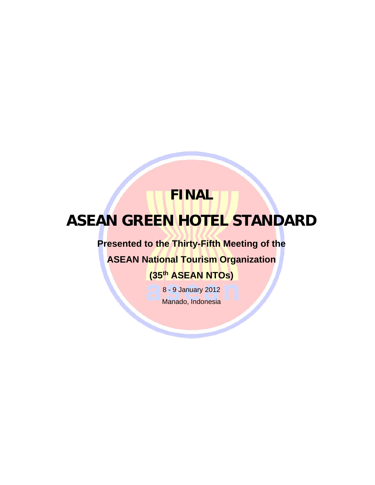# **FINAL ASEAN GREEN HOTEL STANDARD**

# **Presented to the Thirty-Fifth Meeting of the**

**ASEAN National Tourism Organization** 

# **(35th ASEAN NTOs)**

8 - 9 January 2012 Manado, Indonesia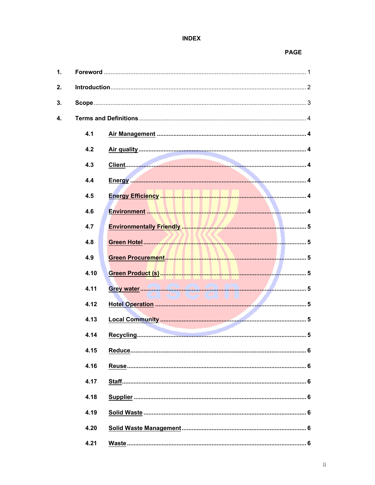# **INDEX**

#### **PAGE**

| $\mathbf{1}$ . |      |                                                                                                                          |  |  |
|----------------|------|--------------------------------------------------------------------------------------------------------------------------|--|--|
| 2.             |      |                                                                                                                          |  |  |
| 3.             |      |                                                                                                                          |  |  |
| 4.             |      |                                                                                                                          |  |  |
|                | 4.1  |                                                                                                                          |  |  |
|                | 4.2  |                                                                                                                          |  |  |
|                | 4.3  |                                                                                                                          |  |  |
|                | 4.4  |                                                                                                                          |  |  |
|                | 4.5  |                                                                                                                          |  |  |
|                | 4.6  | Environment <b>Market and Market and Market and Market and Market and American American American American American A</b> |  |  |
|                | 4.7  |                                                                                                                          |  |  |
|                | 4.8  |                                                                                                                          |  |  |
|                | 4.9  |                                                                                                                          |  |  |
|                | 4.10 |                                                                                                                          |  |  |
|                | 4.11 |                                                                                                                          |  |  |
|                | 4.12 |                                                                                                                          |  |  |
|                | 4.13 |                                                                                                                          |  |  |
|                | 4.14 |                                                                                                                          |  |  |
|                | 4.15 |                                                                                                                          |  |  |
|                | 4.16 |                                                                                                                          |  |  |
|                | 4.17 |                                                                                                                          |  |  |
|                | 4.18 |                                                                                                                          |  |  |
|                | 4.19 |                                                                                                                          |  |  |
|                | 4.20 |                                                                                                                          |  |  |
|                | 4.21 |                                                                                                                          |  |  |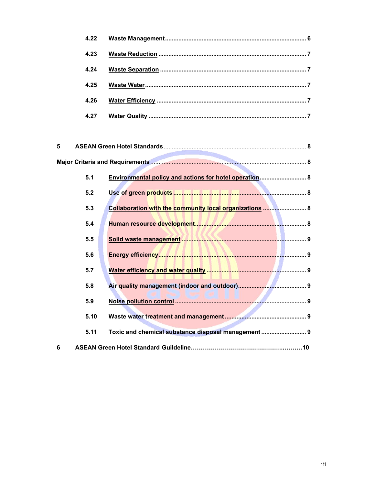| 4.22 |  |
|------|--|
| 4.23 |  |
| 4.24 |  |
| 4.25 |  |
| 4.26 |  |
| 4.27 |  |

| 5 |      |                                                         |  |  |
|---|------|---------------------------------------------------------|--|--|
|   |      |                                                         |  |  |
|   | 5.1  | Environmental policy and actions for hotel operation 8  |  |  |
|   | 5.2  |                                                         |  |  |
|   | 5.3  | Collaboration with the community local organizations  8 |  |  |
|   | 5.4  |                                                         |  |  |
|   | 5.5  |                                                         |  |  |
|   | 5.6  |                                                         |  |  |
|   | 5.7  |                                                         |  |  |
|   | 5.8  |                                                         |  |  |
|   | 5.9  |                                                         |  |  |
|   | 5.10 |                                                         |  |  |
|   | 5.11 | Toxic and chemical substance disposal management  9     |  |  |
| 6 |      |                                                         |  |  |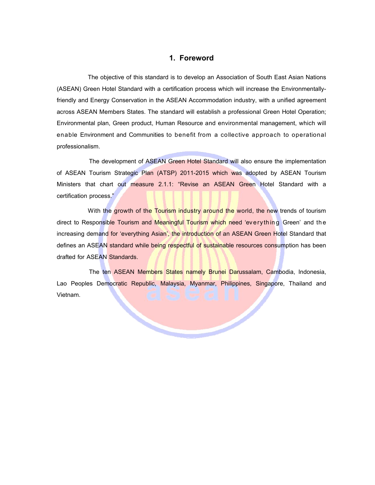### **1. Foreword**

The objective of this standard is to develop an Association of South East Asian Nations (ASEAN) Green Hotel Standard with a certification process which will increase the Environmentallyfriendly and Energy Conservation in the ASEAN Accommodation industry, with a unified agreement across ASEAN Members States. The standard will establish a professional Green Hotel Operation; Environmental plan, Green product, Human Resource and environmental management, which will enable Environment and Communities to benefit from a collective approach to operational professionalism.

The development of ASEAN Green Hotel Standard will also ensure the implementation of ASEAN Tourism Strategic Plan (ATSP) 2011-2015 which was adopted by ASEAN Tourism Ministers that chart out measure 2.1.1: "Revise an ASEAN Green Hotel Standard with a certification process."

With the growth of the Tourism industry around the world, the new trends of tourism direct to Responsible Tourism and Meaningful Tourism which need 'everything Green' and the increasing demand for 'everything Asian', the introduction of an ASEAN Green Hotel Standard that defines an ASEAN standard while being respectful of sustainable resources consumption has been drafted for ASEAN Standards.

The ten ASEAN Members States namely Brunei Darussalam, Cambodia, Indonesia, Lao Peoples Democratic Republic, Malaysia, Myanmar, Philippines, Singapore, Thailand and Vietnam.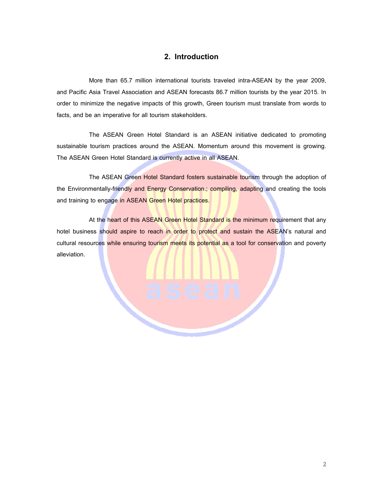# **2. Introduction**

More than 65.7 million international tourists traveled intra-ASEAN by the year 2009, and Pacific Asia Travel Association and ASEAN forecasts 86.7 million tourists by the year 2015. In order to minimize the negative impacts of this growth, Green tourism must translate from words to facts, and be an imperative for all tourism stakeholders.

The ASEAN Green Hotel Standard is an ASEAN initiative dedicated to promoting sustainable tourism practices around the ASEAN. Momentum around this movement is growing. The ASEAN Green Hotel Standard is currently active in all ASEAN.

The ASEAN Green Hotel Standard fosters sustainable tourism through the adoption of the Environmentally-friendly and Energy Conservation.; compiling, adapting and creating the tools and training to engage in ASEAN Green Hotel practices.

At the heart of this ASEAN Green Hotel Standard is the minimum requirement that any hotel business should aspire to reach in order to protect and sustain the ASEAN's natural and cultural resources while ensuring tourism meets its potential as a tool for conservation and poverty alleviation.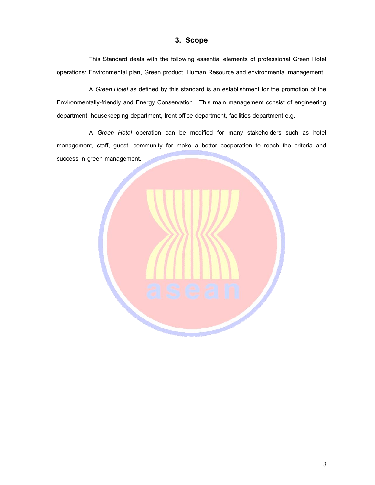# **3. Scope**

This Standard deals with the following essential elements of professional Green Hotel operations: Environmental plan, Green product, Human Resource and environmental management.

A *Green Hotel* as defined by this standard is an establishment for the promotion of the Environmentally-friendly and Energy Conservation. This main management consist of engineering department, housekeeping department, front office department, facilities department e.g.

A *Green Hotel* operation can be modified for many stakeholders such as hotel management, staff, guest, community for make a better cooperation to reach the criteria and success in green management.

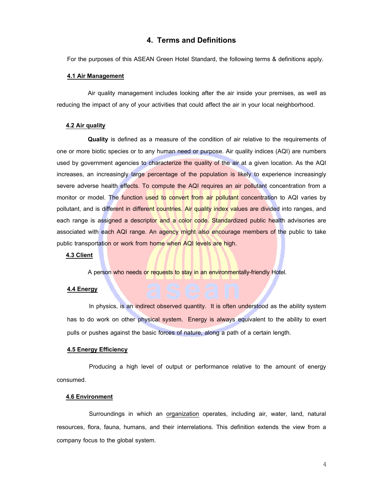## **4. Terms and Definitions**

For the purposes of this ASEAN Green Hotel Standard, the following terms & definitions apply.

#### **4.1 Air Management**

Air quality management includes looking after the air inside your premises, as well as reducing the impact of any of your activities that could affect the air in your local neighborhood.

#### **4.2 Air quality**

**Quality** is defined as a measure of the condition of air relative to the requirements of one or more biotic species or to any human need or purpose. Air quality indices (AQI) are numbers used by government agencies to characterize the quality of the air at a given location. As the AQI increases, an increasingly large percentage of the population is likely to experience increasingly severe adverse health effects. To compute the AQI requires an air pollutant concentration from a monitor or model. The function used to convert from air pollutant concentration to AQI varies by pollutant, and is different in different countries. Air quality index values are divided into ranges, and each range is assigned a descriptor and a color code. Standardized public health advisories are associated with each AQI range. An agency might also encourage members of the public to take public transportation or work from home when AQI levels are high.

#### **4.3 Client**

A person who needs or requests to stay in an environmentally-friendly Hotel.

#### **4.4 Energy**

In physics, is an indirect observed quantity. It is often understood as the ability system has to do work on other physical system. Energy is always equivalent to the ability to exert pulls or pushes against the basic forces of nature, along a path of a certain length.

#### **4.5 Energy Efficiency**

Producing a high level of output or performance relative to the amount of energy consumed.

#### **4.6 Environment**

Surroundings in which an organization operates, including air, water, land, natural resources, flora, fauna, humans, and their interrelations. This definition extends the view from a company focus to the global system.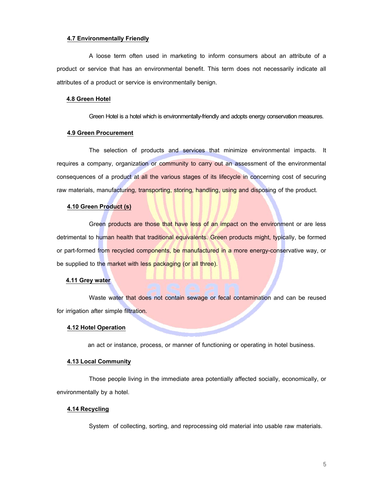#### **4.7 Environmentally Friendly**

A loose term often used in marketing to inform consumers about an attribute of a product or service that has an environmental benefit. This term does not necessarily indicate all attributes of a product or service is environmentally benign.

#### **4.8 Green Hotel**

Green Hotel is a hotel which is environmentally-friendly and adopts energy conservation measures.

#### **4.9 Green Procurement**

The selection of products and services that minimize environmental impacts. It requires a company, organization or community to carry out an assessment of the environmental consequences of a product at all the various stages of its lifecycle in concerning cost of securing raw materials, manufacturing, transporting, storing, handling, using and disposing of the product.

#### **4.10 Green Product (s)**

Green products are those that have less of an impact on the environment or are less detrimental to human health that traditional equivalents. Green products might, typically, be formed or part-formed from recycled components, be manufactured in a more energy-conservative way, or be supplied to the market with less packaging (or all three).

#### **4.11 Grey water**

Waste water that does not contain sewage or fecal contamination and can be reused for irrigation after simple filtration.

#### **4.12 Hotel Operation**

an act or instance, process, or manner of functioning or operating in hotel business.

#### **4.13 Local Community**

Those people living in the immediate area potentially affected socially, economically, or environmentally by a hotel.

#### **4.14 Recycling**

System of collecting, sorting, and reprocessing old material into usable raw materials.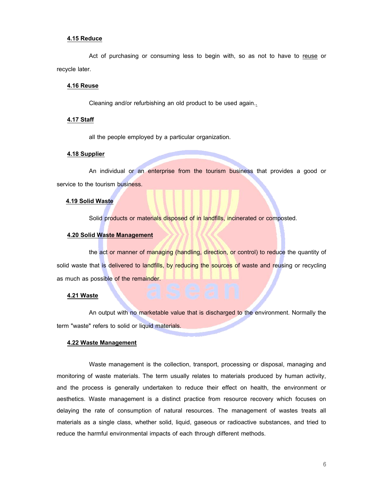#### **4.15 Reduce**

Act of purchasing or consuming less to begin with, so as not to have to reuse or recycle later.

#### **4.16 Reuse**

Cleaning and/or refurbishing an old product to be used again..

#### **4.17 Staff**

all the people employed by a particular organization.

#### **4.18 Supplier**

An individual or an enterprise from the tourism business that provides a good or service to the tourism business.

#### **4.19 Solid Waste**

Solid products or materials disposed of in landfills, incinerated or composted.

#### **4.20 Solid Waste Management**

the act or manner of managing (handling, direction, or control) to reduce the quantity of solid waste that is delivered to landfills, by reducing the sources of waste and reusing or recycling as much as possible of the remainder.

#### **4.21 Waste**

An output with no marketable value that is discharged to the environment. Normally the term "waste" refers to solid or liquid materials.

#### **4.22 Waste Management**

Waste management is the collection, transport, processing or disposal, managing and monitoring of waste materials. The term usually relates to materials produced by human activity, and the process is generally undertaken to reduce their effect on health, the environment or aesthetics. Waste management is a distinct practice from resource recovery which focuses on delaying the rate of consumption of natural resources. The management of wastes treats all materials as a single class, whether solid, liquid, gaseous or radioactive substances, and tried to reduce the harmful environmental impacts of each through different methods.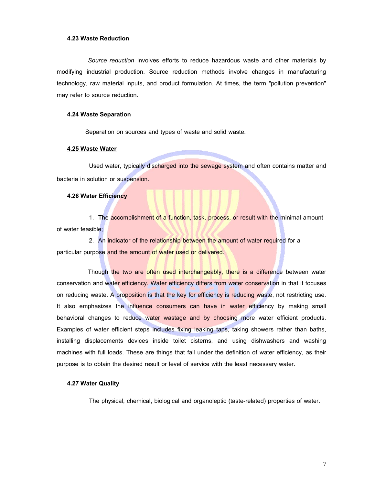#### **4.23 Waste Reduction**

*Source reduction* involves efforts to reduce hazardous waste and other materials by modifying industrial production. Source reduction methods involve changes in manufacturing technology, raw material inputs, and product formulation. At times, the term "pollution prevention" may refer to source reduction.

#### **4.24 Waste Separation**

Separation on sources and types of waste and solid waste.

#### **4.25 Waste Water**

Used water, typically discharged into the sewage system and often contains matter and bacteria in solution or suspension.

#### **4.26 Water Efficiency**

1. The accomplishment of a function, task, process, or result with the minimal amount of water feasible;

2. An indicator of the relationship between the amount of water required for a particular purpose and the amount of water used or delivered.

Though the two are often used interchangeably, there is a difference between water conservation and water efficiency. Water efficiency differs from water conservation in that it focuses on reducing waste. A proposition is that the key for efficiency is reducing waste, not restricting use. It also emphasizes the influence consumers can have in water efficiency by making small behavioral changes to reduce water wastage and by choosing more water efficient products. Examples of water efficient steps includes fixing leaking taps, taking showers rather than baths, installing displacements devices inside toilet cisterns, and using dishwashers and washing machines with full loads. These are things that fall under the definition of water efficiency, as their purpose is to obtain the desired result or level of service with the least necessary water.

#### **4.27 Water Quality**

The physical, chemical, biological and organoleptic (taste-related) properties of water.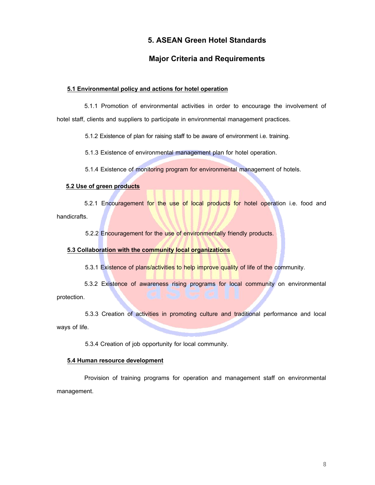# **5. ASEAN Green Hotel Standards**

# **Major Criteria and Requirements**

#### **5.1 Environmental policy and actions for hotel operation**

5.1.1 Promotion of environmental activities in order to encourage the involvement of hotel staff, clients and suppliers to participate in environmental management practices.

5.1.2 Existence of plan for raising staff to be aware of environment i.e. training.

5.1.3 Existence of environmental management plan for hotel operation.

5.1.4 Existence of monitoring program for environmental management of hotels.

#### **5.2 Use of green products**

5.2.1 Encouragement for the use of local products for hotel operation i.e. food and handicrafts.

5.2.2 Encouragement for the use of environmentally friendly products.

#### **5.3 Collaboration with the community local organizations**

5.3.1 Existence of plans/activities to help improve quality of life of the community.

5.3.2 Existence of awareness rising programs for local community on environmental protection.

5.3.3 Creation of activities in promoting culture and traditional performance and local ways of life.

5.3.4 Creation of job opportunity for local community.

#### **5.4 Human resource development**

Provision of training programs for operation and management staff on environmental management.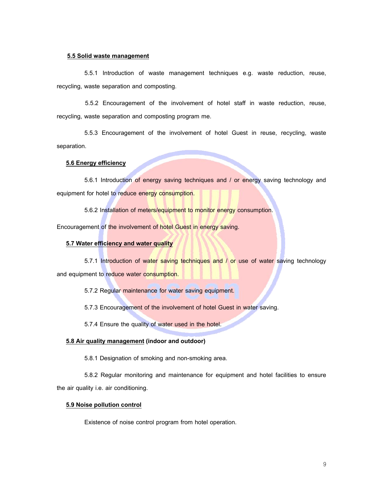#### **5.5 Solid waste management**

5.5.1 Introduction of waste management techniques e.g. waste reduction, reuse, recycling, waste separation and composting.

5.5.2 Encouragement of the involvement of hotel staff in waste reduction, reuse, recycling, waste separation and composting program me.

5.5.3 Encouragement of the involvement of hotel Guest in reuse, recycling, waste separation.

#### **5.6 Energy efficiency**

5.6.1 Introduction of energy saving techniques and / or energy saving technology and equipment for hotel to reduce energy consumption.

5.6.2 Installation of meters/equipment to monitor energy consumption.

Encouragement of the involvement of hotel Guest in energy saving.

#### **5.7 Water efficiency and water quality**

5.7.1 Introduction of water saving techniques and / or use of water saving technology and equipment to reduce water consumption.

5.7.2 Regular maintenance for water saving equipment.

5.7.3 Encouragement of the involvement of hotel Guest in water saving.

5.7.4 Ensure the quality of water used in the hotel.

#### **5.8 Air quality management (indoor and outdoor)**

5.8.1 Designation of smoking and non-smoking area.

5.8.2 Regular monitoring and maintenance for equipment and hotel facilities to ensure the air quality i.e. air conditioning.

#### **5.9 Noise pollution control**

Existence of noise control program from hotel operation.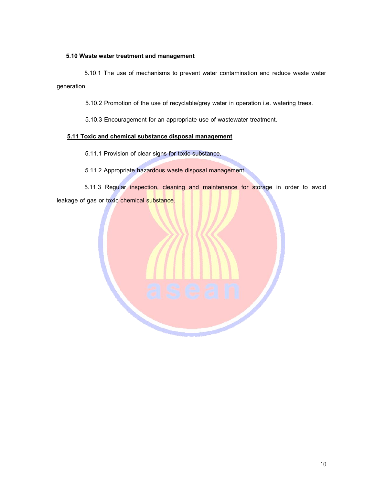#### **5.10 Waste water treatment and management**

5.10.1 The use of mechanisms to prevent water contamination and reduce waste water generation.

5.10.2 Promotion of the use of recyclable/grey water in operation i.e. watering trees.

5.10.3 Encouragement for an appropriate use of wastewater treatment.

#### **5.11 Toxic and chemical substance disposal management**

5.11.1 Provision of clear signs for toxic substance.

5.11.2 Appropriate hazardous waste disposal management.

5.11.3 Regular inspection, cleaning and maintenance for storage in order to avoid leakage of gas or toxic chemical substance.

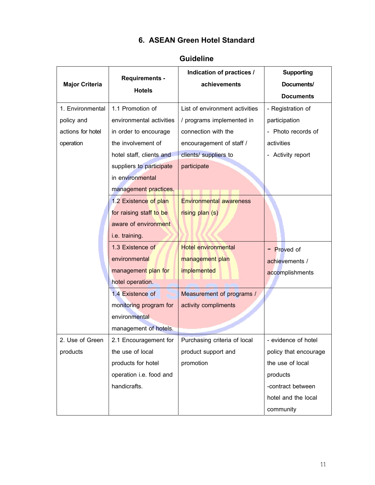# **6. ASEAN Green Hotel Standard**

|                       | <b>Requirements -</b><br><b>Hotels</b> | Indication of practices /        | <b>Supporting</b>     |
|-----------------------|----------------------------------------|----------------------------------|-----------------------|
| <b>Major Criteria</b> |                                        | achievements                     | Documents/            |
|                       |                                        |                                  | <b>Documents</b>      |
| 1. Environmental      | 1.1 Promotion of                       | List of environment activities   | - Registration of     |
| policy and            | environmental activities               | / programs implemented in        | participation         |
| actions for hotel     | in order to encourage                  | connection with the              | - Photo records of    |
| operation             | the involvement of                     | encouragement of staff /         | activities            |
|                       | hotel staff, clients and               | clients/ suppliers to            | - Activity report     |
|                       | suppliers to participate               | participate                      |                       |
|                       | in environmental                       |                                  |                       |
|                       | management practices.                  |                                  |                       |
|                       | 1.2 Existence of plan                  | <b>Environmental awareness</b>   |                       |
|                       | for raising staff to be                | rising plan (s)                  |                       |
|                       | aware of environment                   |                                  |                       |
|                       | i.e. training.                         |                                  |                       |
|                       | 1.3 Existence of                       | <b>Hotel environmental</b>       | <b>Proved of</b>      |
|                       | environmental                          | management plan                  | achievements /        |
|                       | management plan for                    | implemented                      | accomplishments       |
|                       | hotel operation.                       |                                  |                       |
|                       | 1.4 Existence of                       | <b>Measurement of programs /</b> |                       |
|                       | monitoring program for                 | activity compliments             |                       |
|                       | environmental                          |                                  |                       |
|                       | management of hotels.                  |                                  |                       |
| 2. Use of Green       | 2.1 Encouragement for                  | Purchasing criteria of local     | evidence of hotel     |
| products              | the use of local                       | product support and              | policy that encourage |
|                       | products for hotel                     | promotion                        | the use of local      |
|                       | operation i.e. food and                |                                  | products              |
|                       | handicrafts.                           |                                  | -contract between     |
|                       |                                        |                                  | hotel and the local   |
|                       |                                        |                                  | community             |

# **Guideline**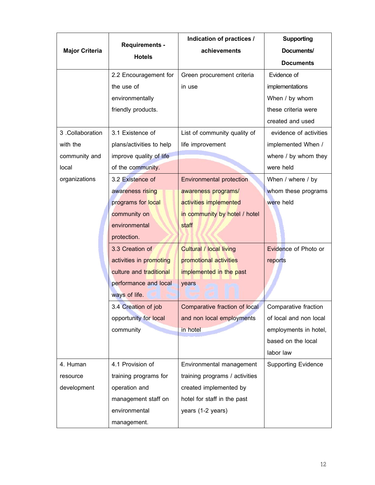|                       |                          | Indication of practices /            | <b>Supporting</b>          |
|-----------------------|--------------------------|--------------------------------------|----------------------------|
| <b>Major Criteria</b> | <b>Requirements -</b>    | achievements                         | Documents/                 |
|                       | <b>Hotels</b>            |                                      | <b>Documents</b>           |
|                       | 2.2 Encouragement for    | Green procurement criteria           | Evidence of                |
|                       | the use of               | in use                               | implementations            |
|                       | environmentally          |                                      | When / by whom             |
|                       | friendly products.       |                                      | these criteria were        |
|                       |                          |                                      | created and used           |
| 3. Collaboration      | 3.1 Existence of         | List of community quality of         | evidence of activities     |
| with the              | plans/activities to help | life improvement                     | implemented When /         |
| community and         | improve quality of life  |                                      | where / by whom they       |
| local                 | of the community.        |                                      | were held                  |
| organizations         | 3.2 Existence of         | <b>Environmental protection</b>      | When / where / by          |
|                       | awareness rising         | awareness programs/                  | whom these programs        |
|                       | programs for local       | activities implemented               | were held                  |
|                       | community on             | in community by hotel / hotel        |                            |
|                       | environmental            | staff                                |                            |
|                       | protection.              |                                      |                            |
|                       | 3.3 Creation of          | <b>Cultural / local living</b>       | Evidence of Photo or       |
|                       | activities in promoting  | promotional activities               | reports                    |
|                       | culture and traditional  | implemented in the past              |                            |
|                       | performance and local    | years                                |                            |
|                       | ways of life.            |                                      |                            |
|                       | 3.4 Creation of job      | <b>Comparative fraction of local</b> | Comparative fraction       |
|                       | opportunity for local    | and non local employments            | of local and non local     |
|                       | community                | in hotel                             | employments in hotel,      |
|                       |                          |                                      | based on the local         |
|                       |                          |                                      | labor law                  |
| 4. Human              | 4.1 Provision of         | Environmental management             | <b>Supporting Evidence</b> |
| resource              | training programs for    | training programs / activities       |                            |
| development           | operation and            | created implemented by               |                            |
|                       | management staff on      | hotel for staff in the past          |                            |
|                       | environmental            | years (1-2 years)                    |                            |
|                       | management.              |                                      |                            |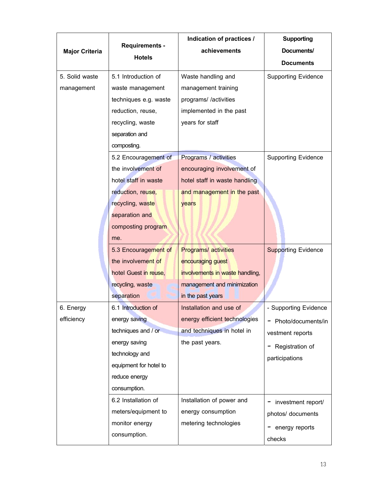|                       |                        | Indication of practices /       | <b>Supporting</b>          |
|-----------------------|------------------------|---------------------------------|----------------------------|
| <b>Major Criteria</b> | <b>Requirements -</b>  | achievements                    | Documents/                 |
|                       | <b>Hotels</b>          |                                 | <b>Documents</b>           |
| 5. Solid waste        | 5.1 Introduction of    | Waste handling and              | <b>Supporting Evidence</b> |
| management            | waste management       | management training             |                            |
|                       | techniques e.g. waste  | programs//activities            |                            |
|                       | reduction, reuse,      | implemented in the past         |                            |
|                       | recycling, waste       | years for staff                 |                            |
|                       | separation and         |                                 |                            |
|                       | composting.            |                                 |                            |
|                       | 5.2 Encouragement of   | Programs / activities           | <b>Supporting Evidence</b> |
|                       | the involvement of     | encouraging involvement of      |                            |
|                       | hotel staff in waste   | hotel staff in waste handling   |                            |
|                       | reduction, reuse,      | and management in the past      |                            |
|                       | recycling, waste       | years                           |                            |
|                       | separation and         |                                 |                            |
|                       | composting program     |                                 |                            |
|                       | me.                    |                                 |                            |
|                       | 5.3 Encouragement of   | <b>Programs/activities</b>      | <b>Supporting Evidence</b> |
|                       | the involvement of     | encouraging guest               |                            |
|                       | hotel Guest in reuse,  | involvements in waste handling, |                            |
|                       | recycling, waste       | management and minimization     |                            |
|                       | separation             | in the past years               |                            |
| 6. Energy             | 6.1 Introduction of    | Installation and use of         | - Supporting Evidence      |
| efficiency            | energy saving          | energy efficient technologies   | Photo/documents/in<br>-    |
|                       | techniques and / or    | and techniques in hotel in      | vestment reports           |
|                       | energy saving          | the past years.                 | Registration of            |
|                       | technology and         |                                 | participations             |
|                       | equipment for hotel to |                                 |                            |
|                       | reduce energy          |                                 |                            |
|                       | consumption.           |                                 |                            |
|                       | 6.2 Installation of    | Installation of power and       | investment report/         |
|                       | meters/equipment to    | energy consumption              | photos/ documents          |
|                       | monitor energy         | metering technologies           | energy reports             |
|                       | consumption.           |                                 | checks                     |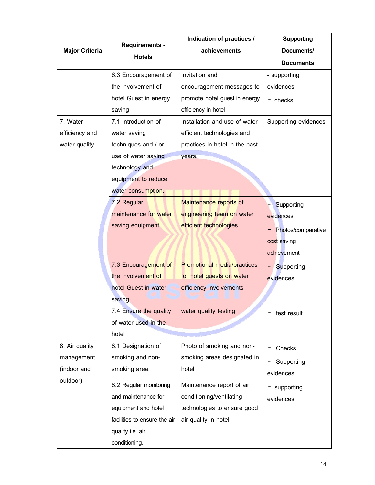|                       |                              | Indication of practices /          | <b>Supporting</b>    |
|-----------------------|------------------------------|------------------------------------|----------------------|
| <b>Major Criteria</b> | <b>Requirements -</b>        | achievements                       | Documents/           |
|                       | <b>Hotels</b>                |                                    | <b>Documents</b>     |
|                       | 6.3 Encouragement of         | Invitation and                     | - supporting         |
|                       | the involvement of           | encouragement messages to          | evidences            |
|                       | hotel Guest in energy        | promote hotel guest in energy      | $-$ checks           |
|                       | saving                       | efficiency in hotel                |                      |
| 7. Water              | 7.1 Introduction of          | Installation and use of water      | Supporting evidences |
| efficiency and        | water saving                 | efficient technologies and         |                      |
| water quality         | techniques and / or          | practices in hotel in the past     |                      |
|                       | use of water saving          | years.                             |                      |
|                       | technology and               |                                    |                      |
|                       | equipment to reduce          |                                    |                      |
|                       | water consumption.           |                                    |                      |
|                       | 7.2 Regular                  | Maintenance reports of             | Supporting           |
|                       | maintenance for water        | engineering team on water          | evidences            |
|                       | saving equipment.            | efficient technologies.            | Photos/comparative   |
|                       |                              |                                    | cost saving          |
|                       |                              |                                    | achievement          |
|                       | 7.3 Encouragement of         | <b>Promotional media/practices</b> |                      |
|                       | the involvement of           | for hotel guests on water          | Supporting           |
|                       | hotel Guest in water         | efficiency involvements            | evidences            |
|                       | saving.                      |                                    |                      |
|                       | 7.4 Ensure the quality       | water quality testing              |                      |
|                       | of water used in the         |                                    | test result          |
|                       | hotel                        |                                    |                      |
| 8. Air quality        |                              | Photo of smoking and non-          |                      |
|                       | 8.1 Designation of           |                                    | Checks               |
| management            | smoking and non-             | smoking areas designated in        | Supporting           |
| (indoor and           | smoking area.                | hotel                              | evidences            |
| outdoor)              | 8.2 Regular monitoring       | Maintenance report of air          | supporting           |
|                       | and maintenance for          | conditioning/ventilating           | evidences            |
|                       | equipment and hotel          | technologies to ensure good        |                      |
|                       | facilities to ensure the air | air quality in hotel               |                      |
|                       | quality i.e. air             |                                    |                      |
|                       | conditioning.                |                                    |                      |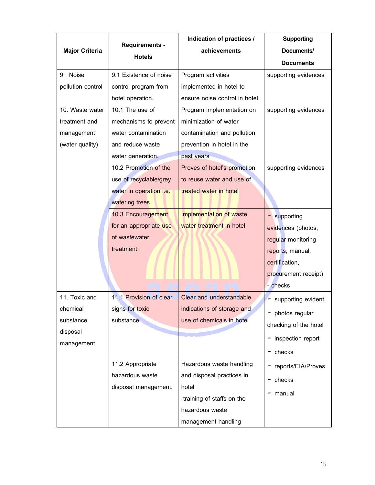|                       |                         | Indication of practices /       | <b>Supporting</b>     |
|-----------------------|-------------------------|---------------------------------|-----------------------|
| <b>Major Criteria</b> | <b>Requirements -</b>   | achievements                    | Documents/            |
|                       | <b>Hotels</b>           |                                 | <b>Documents</b>      |
| 9. Noise              | 9.1 Existence of noise  | Program activities              | supporting evidences  |
| pollution control     | control program from    | implemented in hotel to         |                       |
|                       | hotel operation.        | ensure noise control in hotel   |                       |
| 10. Waste water       | 10.1 The use of         | Program implementation on       | supporting evidences  |
| treatment and         | mechanisms to prevent   | minimization of water           |                       |
| management            | water contamination     | contamination and pollution     |                       |
| (water quality)       | and reduce waste        | prevention in hotel in the      |                       |
|                       | water generation.       | past years                      |                       |
|                       | 10.2 Promotion of the   | Proves of hotel's promotion     | supporting evidences  |
|                       | use of recyclable/grey  | to reuse water and use of       |                       |
|                       | water in operation i.e. | treated water in hotel          |                       |
|                       | watering trees.         |                                 |                       |
|                       | 10.3 Encouragement      | Implementation of waste         | supporting<br>-       |
|                       | for an appropriate use  | water treatment in hotel        | evidences (photos,    |
|                       | of wastewater           |                                 | regular monitoring    |
|                       | treatment.              |                                 | reports, manual,      |
|                       |                         |                                 | certification,        |
|                       |                         |                                 | procurement receipt)  |
|                       |                         |                                 | - checks              |
| 11. Toxic and         | 11.1 Provision of clear | <b>Clear and understandable</b> | supporting evident    |
| chemical              | signs for toxic         | indications of storage and      | photos regular<br>-   |
| substance             | substance.              | use of chemicals in hotel       | checking of the hotel |
| disposal              |                         |                                 |                       |
| management            |                         |                                 | inspection report     |
|                       |                         |                                 | checks<br>-           |
|                       | 11.2 Appropriate        | Hazardous waste handling        | reports/EIA/Proves    |
|                       | hazardous waste         | and disposal practices in       | checks                |
|                       | disposal management.    | hotel                           | manual                |
|                       |                         | -training of staffs on the      |                       |
|                       |                         | hazardous waste                 |                       |
|                       |                         | management handling             |                       |